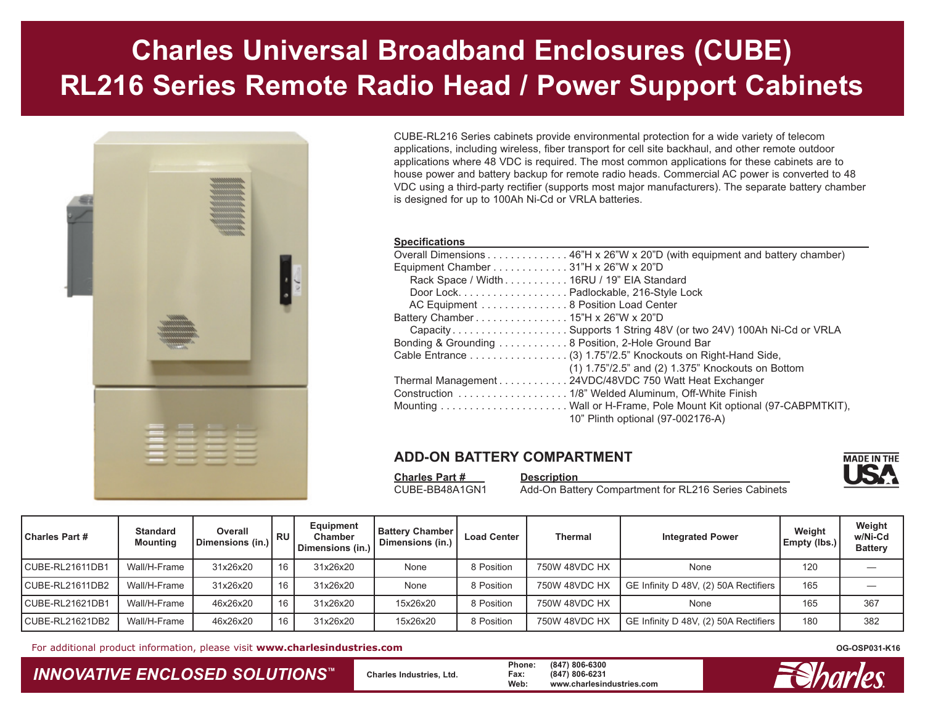# **Charles Universal Broadband Enclosures (CUBE) RL216 Series Remote Radio Head / Power Support Cabinets**



CUBE-RL216 Series cabinets provide environmental protection for a wide variety of telecom applications, including wireless, fiber transport for cell site backhaul, and other remote outdoor applications where 48 VDC is required. The most common applications for these cabinets are to house power and battery backup for remote radio heads. Commercial AC power is converted to 48 VDC using a third-party rectifier (supports most major manufacturers). The separate battery chamber is designed for up to 100Ah Ni-Cd or VRLA batteries.

#### **Specifications**

| opoomoanono                                                                |
|----------------------------------------------------------------------------|
| Overall Dimensions 46"H x 26"W x 20"D (with equipment and battery chamber) |
| Equipment Chamber 31"H x 26"W x 20"D                                       |
| Rack Space / Width 16RU / 19" EIA Standard                                 |
| Door Lock. Padlockable, 216-Style Lock                                     |
| AC Equipment  8 Position Load Center                                       |
|                                                                            |
| Capacity Supports 1 String 48V (or two 24V) 100Ah Ni-Cd or VRLA            |
| Bonding & Grounding 8 Position, 2-Hole Ground Bar                          |
| Cable Entrance (3) 1.75"/2.5" Knockouts on Right-Hand Side,                |
| $(1)$ 1.75"/2.5" and $(2)$ 1.375" Knockouts on Bottom                      |
| Thermal Management 24VDC/48VDC 750 Watt Heat Exchanger                     |
|                                                                            |
|                                                                            |
| 10" Plinth optional (97-002176-A)                                          |

#### **ADD-ON BATTERY COMPARTMENT**



CUBE-BB48A1GN1 Add-On Battery Compartment for RL216 Series Cabinets

| <b>Charles Part #</b> | <b>Standard</b><br><b>Mounting</b> | Overall<br>Dimensions (in.) | l RU | Equipment<br>Chamber<br>Dimensions (in.) | <b>Battery Chamber  </b><br>Dimensions (in.) | <b>Load Center</b> | Thermal       | <b>Integrated Power</b>               | Weight<br>Empty (lbs.) | Weight<br>w/Ni-Cd<br><b>Battery</b> |
|-----------------------|------------------------------------|-----------------------------|------|------------------------------------------|----------------------------------------------|--------------------|---------------|---------------------------------------|------------------------|-------------------------------------|
| CUBE-RL21611DB1       | Wall/H-Frame                       | 31x26x20                    | 16   | 31x26x20                                 | None                                         | 8 Position         | 750W 48VDC HX | None                                  | 120                    |                                     |
| CUBE-RL21611DB2       | Wall/H-Frame                       | 31x26x20                    | 16   | 31x26x20                                 | None                                         | 8 Position         | 750W 48VDC HX | GE Infinity D 48V, (2) 50A Rectifiers | 165                    |                                     |
| CUBE-RL21621DB1       | Wall/H-Frame                       | 46x26x20                    | 16   | 31x26x20                                 | 15x26x20                                     | 8 Position         | 750W 48VDC HX | None                                  | 165                    | 367                                 |
| CUBE-RL21621DB2       | Wall/H-Frame                       | 46x26x20                    | 16   | 31x26x20                                 | 15x26x20                                     | 8 Position         | 750W 48VDC HX | GE Infinity D 48V, (2) 50A Rectifiers | 180                    | 382                                 |

For additional product information, please visit **www.charlesindustries.com**

### *INNOVATIVE ENCLOSED SOLUTIONS ™*

 **Charles Industries, Ltd. Phone: (847) 806-6300 Fax: (847) 806-6231 Web: www.charlesindustries.com**



**MADE IN THE** 

**OG-OSP031-K16**